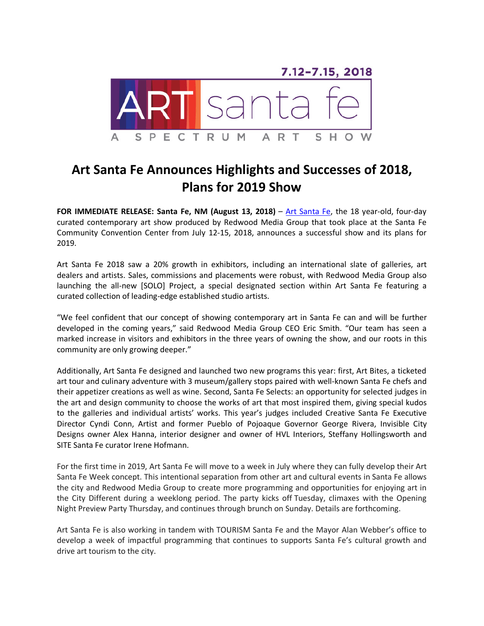

## **Art Santa Fe Announces Highlights and Successes of 2018, Plans for 2019 Show**

**FOR IMMEDIATE RELEASE: Santa Fe, NM (August 13, 2018)** – [Art Santa Fe,](http://www.artsantafe.com/) the 18 year-old, four-day curated contemporary art show produced by Redwood Media Group that took place at the Santa Fe Community Convention Center from July 12-15, 2018, announces a successful show and its plans for 2019.

Art Santa Fe 2018 saw a 20% growth in exhibitors, including an international slate of galleries, art dealers and artists. Sales, commissions and placements were robust, with Redwood Media Group also launching the all-new [SOLO] Project, a special designated section within Art Santa Fe featuring a curated collection of leading-edge established studio artists.

"We feel confident that our concept of showing contemporary art in Santa Fe can and will be further developed in the coming years," said Redwood Media Group CEO Eric Smith. "Our team has seen a marked increase in visitors and exhibitors in the three years of owning the show, and our roots in this community are only growing deeper."

Additionally, Art Santa Fe designed and launched two new programs this year: first, Art Bites, a ticketed art tour and culinary adventure with 3 museum/gallery stops paired with well-known Santa Fe chefs and their appetizer creations as well as wine. Second, Santa Fe Selects: an opportunity for selected judges in the art and design community to choose the works of art that most inspired them, giving special kudos to the galleries and individual artists' works. This year's judges included Creative Santa Fe Executive Director Cyndi Conn, Artist and former Pueblo of Pojoaque Governor George Rivera, Invisible City Designs owner Alex Hanna, interior designer and owner of HVL Interiors, Steffany Hollingsworth and SITE Santa Fe curator Irene Hofmann.

For the first time in 2019, Art Santa Fe will move to a week in July where they can fully develop their Art Santa Fe Week concept. This intentional separation from other art and cultural events in Santa Fe allows the city and Redwood Media Group to create more programming and opportunities for enjoying art in the City Different during a weeklong period. The party kicks off Tuesday, climaxes with the Opening Night Preview Party Thursday, and continues through brunch on Sunday. Details are forthcoming.

Art Santa Fe is also working in tandem with TOURISM Santa Fe and the Mayor Alan Webber's office to develop a week of impactful programming that continues to supports Santa Fe's cultural growth and drive art tourism to the city.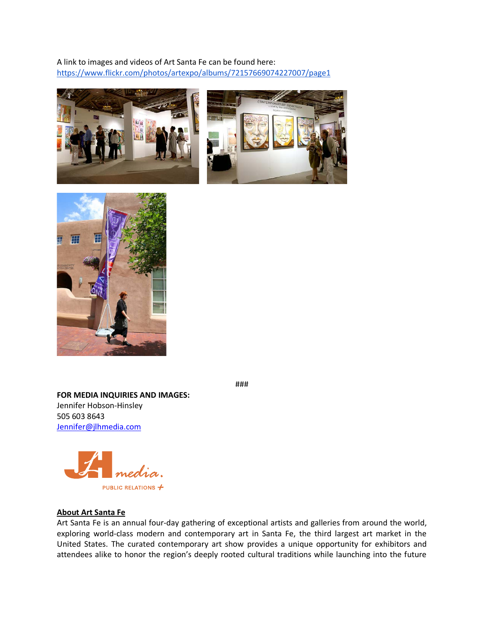A link to images and videos of Art Santa Fe can be found here: <https://www.flickr.com/photos/artexpo/albums/72157669074227007/page1>







**FOR MEDIA INQUIRIES AND IMAGES:** Jennifer Hobson-Hinsley 505 603 8643 [Jennifer@jlhmedia.com](mailto:Jennifer@jlhmedia.com)



## **About Art Santa Fe**

Art Santa Fe is an annual four-day gathering of exceptional artists and galleries from around the world, exploring world-class modern and contemporary art in Santa Fe, the third largest art market in the United States. The curated contemporary art show provides a unique opportunity for exhibitors and attendees alike to honor the region's deeply rooted cultural traditions while launching into the future

###